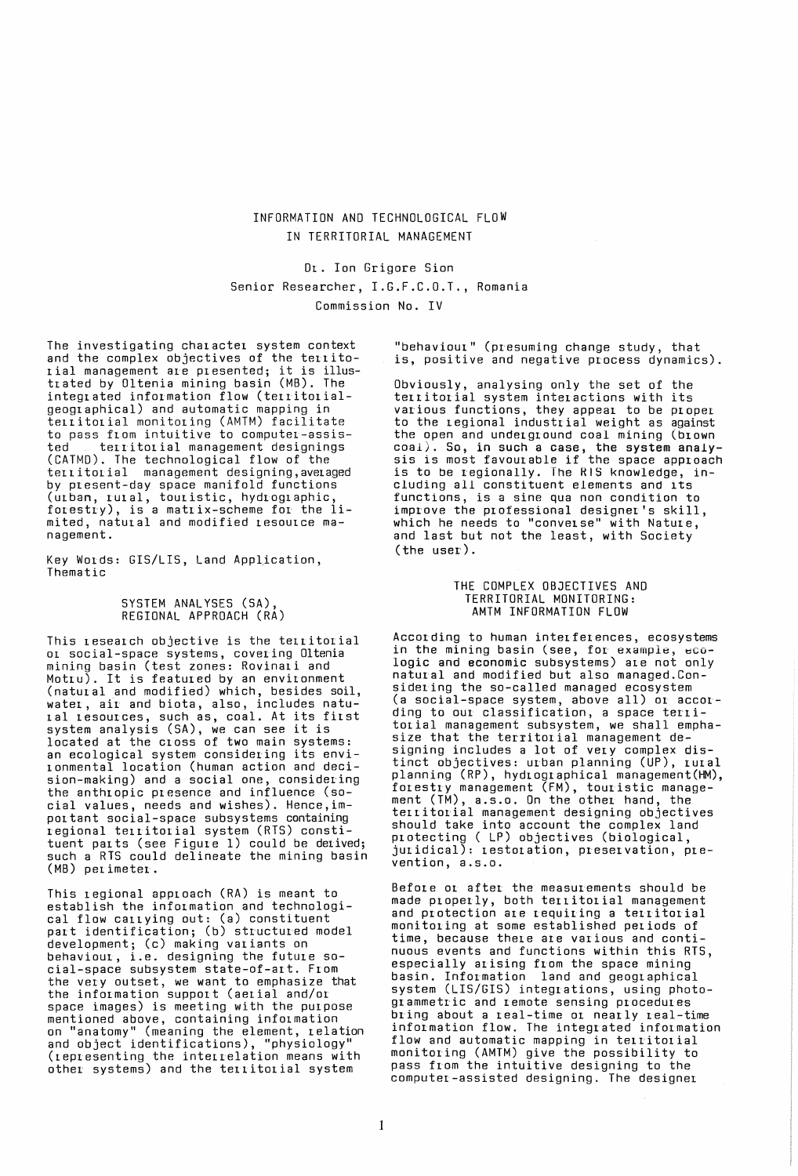# INFORMATION AND TECHNOLOGICAL FLOW IN TERRITORIAL MANAGEMENT

Or. Ion Grigore Sian Senior Researcher, I.G.F.C.O.T., Romania Commission No. IV

The investigating character system context and the complex objectives of the territoand the comprex objectives of the territotrated by Oltenia mining basin (MB). The integrated information flow (territorialgeographical) and automatic mapping in territorial monitoring (AMTM) facilitate to pass from intuitive to computer-assisterritorial management designings (CATMD). The technological flow of the territorial management designing, averaged by present-day space manifold functions (urban, rural, touristic, hydrographic, forestry), is a matrix-scheme for the limited, natural and modified resource management.

Key Words: GIS/LIS, Land AppLication, Thematic

### SYSTEM ANALYSES (SA), REGIONAL APPROACH (RA)

This research objective is the territorial or social-space systems, covering Oltenia mining basin (test zones: Rovinari and Motru). It is featured by an environment (natural and modified) which, besides soil, water, air and biota, also, includes natural resources, such as, coal. At its first system analysis (SA), we can see it is located at the cross of two main systems: an ecological system considering its environmental location (human action and decision-making) and a social one, considering the anthropic presence and influence (social values, needs and wishes). Hence,important social-space subsystems containing regional territorial system (RTS) constituent parts (see Figure 1) could be derived; such a RTS could delineate the mining basin (MB) perimeter.

This regional approach (RA) is meant to establish the information and technological flow carrying out: (a) constituent part identification; (b) structured model development; (c) making variants on behaviour, i.e. designing the future social-space subsystem state-of-art. From the very outset, we want to emphasize that the information support (aerial and/or space images) is meeting with the purpose mentioned above, containing information on "anatomy" (meaning the element, relation and object identifications), "physiology" (representing the interrelation means with other systems) and the territorial system

"behaviour" (presuming change study, that is, positive and negative process dynamics).

Obviously, analysing only the set of the territorial system interactions with its various functions, they appear to be proper to the regional industrial weight as against the open and underground coal mining (brown C?al~. So, in such a case, the system analy-SIS 1S most favourable if the space approach is to be regionally. The RIS knowledge, including all constituent elements and its functions, is a sine qua non condition to improve the professional designer's skill which he needs to "converse" with Nature, and last but not the least, with Society (the user).

### THE COMPLEX OBJECTIVES AND TERRITORIAL MONITORING: AMTM INFORMATION FLOW

According to human interferences, ecosystems in the mining basin (see, for example, ecologic and economic subsystems) are not only natural and modified but also managed.Considering the so-called managed ecosystem (a social-space system, above all) or according to our classification, a space territorial management subsystem, we shall emphasize that the territorial management designing includes a lot of very complex distinct objectives: urban planning (UP), rural planning (RP), hydlographical management(HM), forestry management (FM), touristic management (TM), a.s.o. On the other hand, the territorial management designing objectives should take into account the complex land protecting ( LP) objectives (biological  ${\rm (current)}$ : restoration, preservation, pre-vention, pre-

Before or after the measurements should be made properly, both territorial management and protection are requiring a territorial monitoring at some established periods of time, because there are various and continuous events and functions within this RTS especially arising from the space mining<br>basin. Information land and geographical system (LIS/GIS) integrations, using photogrammetric and remote sensing procedures bring about a real-time or nearly real-time information flow. The integrated information flow and automatic mapping in territorial monitoring (AMTM) give the possibility to pass from the intuitive designing to the computer-assisted designing. The designer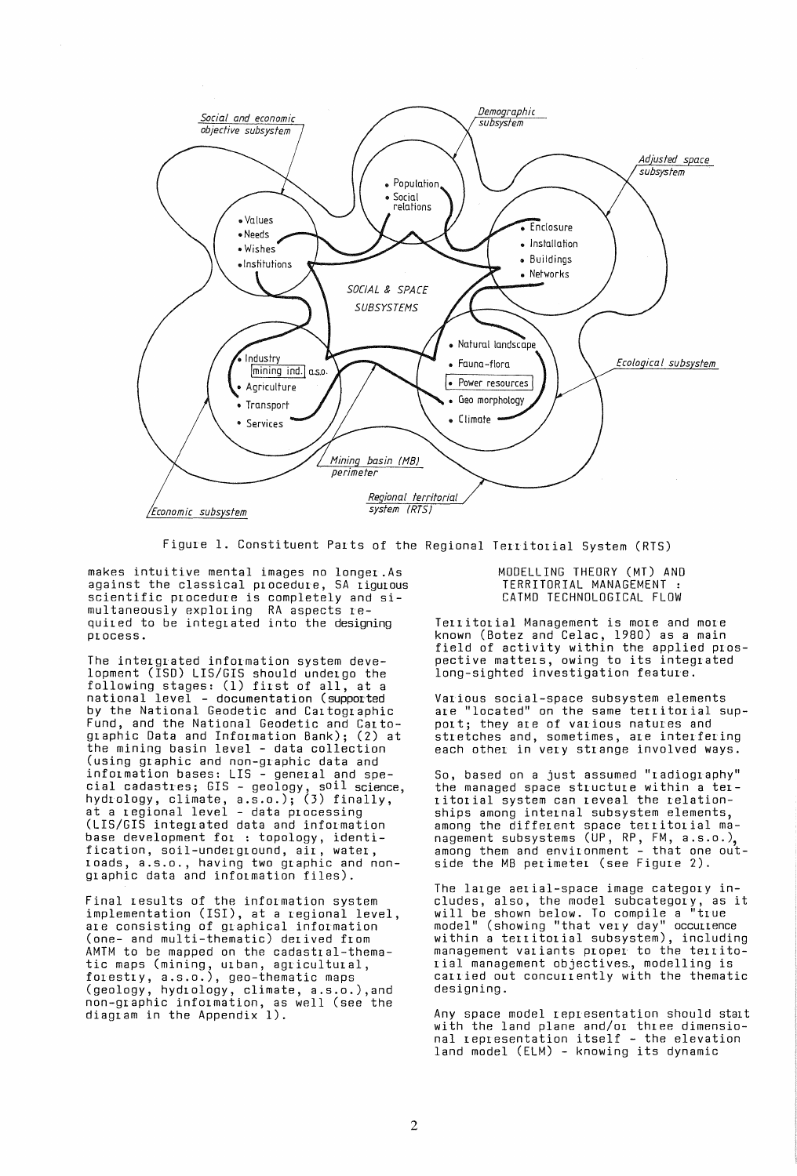

Figure 1. Constituent Parts of the Regional Territorial System (RTS)

makes intuitive mental images no 10nger.As against the classical procedure, SA rigurous scientific procedure is completely and simultaneously exploring RA aspects required to be integrated into the designing process.

The inter grated information system development (ISO) LIS/GIS should undergo the following stages: (1) first of all, at a national level - documentation (supported by the National Geodetic and Cartographic Fund, and the National Geodetic and Cartographic Data and Information Bank); (2) at the mining basin level - data collection (using graphic and non-graphic data and information bases: LIS - general and special cadastres; GIS - geology, soil science, hydrology, climate, a.s.o.); (3) finally, at a regional level - data processing (LIS/GIS integrated data and information base development for : topology, identification, soil-underground, air, water, roads, a.s.o., having two graphic and nonglaphic data and information files).

Final results of the information system implementation (ISI), at a regional level, ale consisting of graphical information (one- and multi-thematic) derived flom AMTM to be mapped on the cadastral-thematic maps (mining, urban, agricultural, forestry, a.s.o.), geo-thematic maps (geology, hydrology, climate, a.s.o.),and non-glaphic information, as well (see the diagram in the Appendix 1).

MODELLING THEORY (MT) AND TERRITORIAL MANAGEMENT : CATMO TECHNOLOGICAL FLOW

Territorial Management is more and more known (Botez and Celac, 1980) as a main field of activity within the applied prospective matters, owing to its integrated long-sighted investigation feature.

Various social-space subsystem elements are "located" on the same territorial suppoit; they are of various natures and stletches and, sometimes, are interfering each other in very strange involved ways.

So, based on a just assumed "radiography" the managed space structure within a terlitorial system can leveal the relationships among internal subsystem elements, among the different space territorial management subsystems (UP, RP, FM, a.s.o.), among them and envilonment - that one outside the MB perimeter (see Figure 2).

The large aerial-space image category includes, also, the model subcategory, as it will be shown below. To compile a "true model" (showing "that very day" occurrence<br>within a territorial subsystem), including management variants ploper to the territo nanagamant rassente pespas to the testing<br>rial management objectives, modelling is carried out concurlently with the thematic designing.

Any space model representation should start with the land plane and/or three dimensio-<br>nal representation itself - the elevation land model (ELM) - knowing its dynamic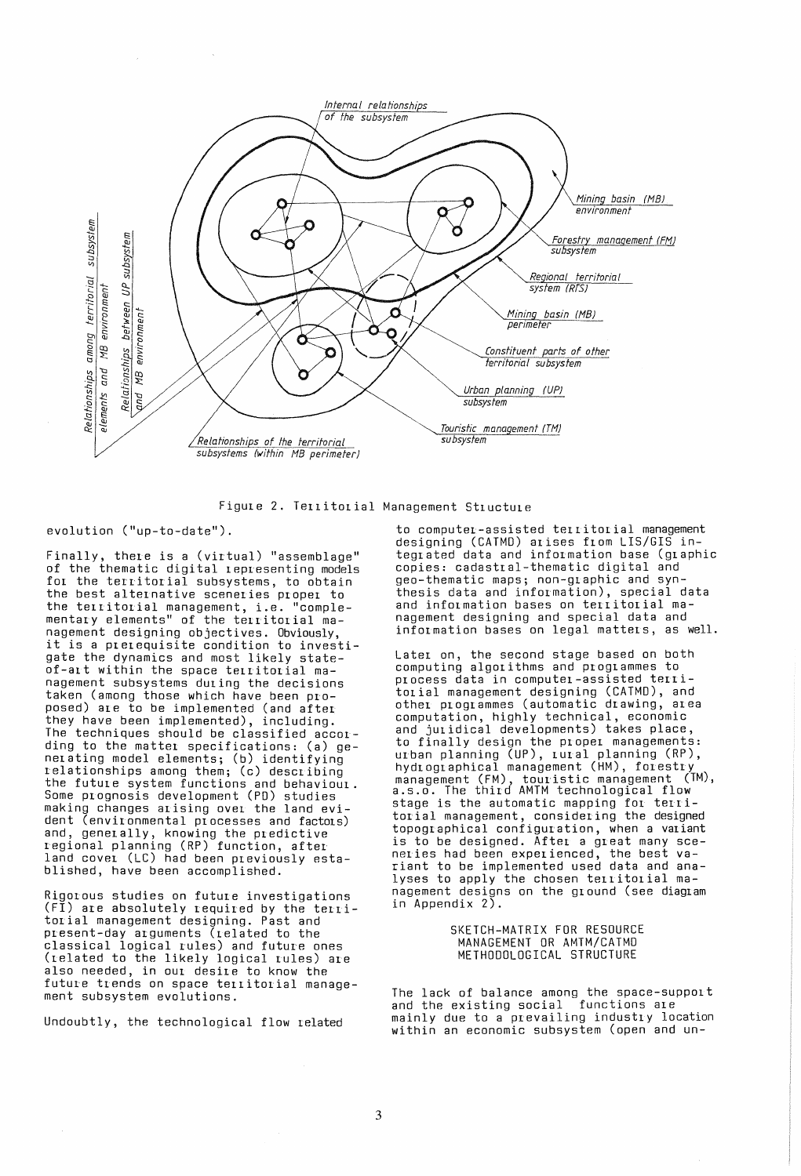

Figule 2. Tellitolial Management Stluctule

### evolution ("up-to-date").

Finally, there is a (virtual) "assemblage" of the thematic digital representing models for the territorial subsystems, to obtain the best alternative sceneries proper to the territorial management, i.e. "complementary elements" of the territorial management designing objectives. Obviously it is a prerequisite condition to investigate the dynamics and most likely stateof-alt within the space tellitolial management subsystems dUling the decisions taken (among those which have been proposed) ale to be implemented (and after they have been implemented), including. The techniques should be classified according to the matter specifications: (a) ge- $\overline{\phantom{a}}$ nerating model elements; (b) identifying relationships among them; (c) describing the futule system functions and behaviour. Some prognosis development (PO) studies making changes arising ovel the land evident (environmental processes and factors) and, generally, knowing the predictive regional planning (RP) function, after land covel (LC) had been pleviously established, have been accomplished.

 $\sim$   $\sim$ 

Rigorous studies on future investigations (FI) are absolutely required by the territorial management designing. Past and present-day arguments (related to the classical logical rules) and future ones  $(related to the likely logical rules) are$ also needed, in our desire to know the future trends on space territorial management subsystem evolutions.

Undoubtly, the technological flow related

to computer-assisted territorial management designing (CATMO) alises flom LIS/GIS integlated data and information base (glaphic copies: cadastral-thematic digital and geo-thematic maps; non-graphic and synthesis data and information), special data and information bases on territorial management designing and special data and information bases on legal matters, as well.

Later on, the second stage based on both computing algorithms and programmes to<br>process data in computer-assisted territOlial management designing (CATMD), and othel ploglammes (automatic drawing, area computation, highly technical, economic and jUlidical developments) takes place, to finally design the proper managements: urban planning (UP), rural planning (RP),  $\hbox{\tt hydu}$ oglaphical management (HM), forestry management (FM), toul'istic management (TM), a.s.o. The third AMTM technological flow stage is the automatic mapping for territorial management, considering the designed topographical configuration, when a valiant is to be designed. After a great many sceneries had been experienced, the best variant to be implemented used data and analyses to apply the chosen territorial management designs on the ground (see diagram in Appendix 2).

### SKETCH-MATRIX FOR RESOURCE MANAGEMENT OR AMTM/CATMO METHODOLOGICAL STRUCTURE

The lack of balance among the space-support and the existing social functions are mainly due to a prevailing industry location within an economic subsystem (open and un-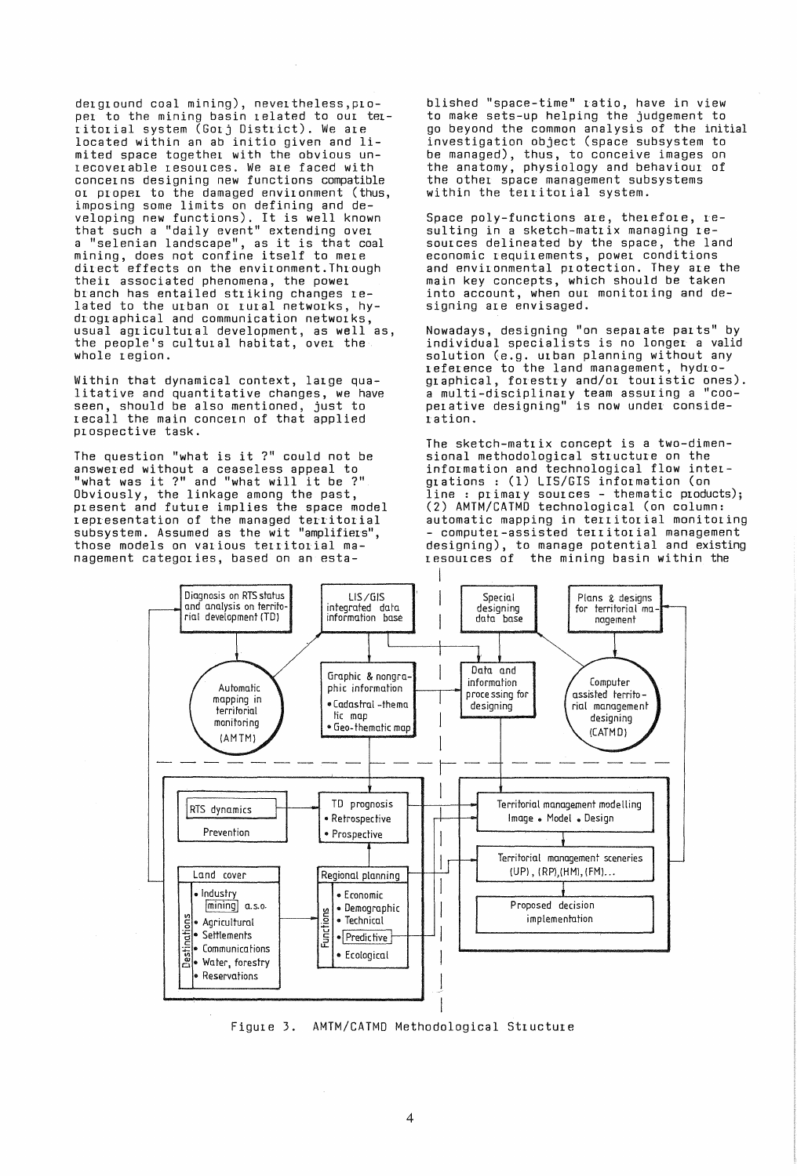derground coal mining), nevertheless,proper to the mining basin related to our territorial system (Gorj District). We are located within an ab initio given and limited space together with the obvious unrecoverable resources. We are faced with concerns designing new functions compatible or proper to the damaged environment (thus, imposing some limits on defining and developing new functions). It is well known that such a "daily event" extending over a "selenian landscape", as it is that coal mining, does not confine itself to mere direct effects on the environment.Through their associated phenomena, the power branch has entailed striking changes related to the urban or rural networks, hydrographical and communication networks, usual agricultural development, as well as, the people's cultural habitat, over the whole region.

Within that dynamical context, large qualitative and quantitative changes, we have seen, should be also mentioned, just to recall the main concern of that applied prospective task.

The question "what is it ?" could not be answered without a ceaseless appeal to "what was it ?" and "what will it be ?" Obviously, the linkage among the past, present and future implies the space model representation of the managed territorial subsystem. Assumed as the wit "amplifiers", those models on various territorial management categories, based on an esta-

blished "space-time" ratio, have in view to make sets-up helping the judgement to go beyond the common analysis of the initial investigation object (space subsystem to be managed), thus, to conceive images on the anatomy, physiology and behaviour of the other space management subsystems within the territorial system.

Space poly-functions are, therefore, resulting in a sketch-matrix managing resources delineated by the space, the land economic requirements, power conditions and environmental protection. They are the main key concepts, which should be taken into account, when our monitoring and designing are envisaged.

Nowadays, designing "on separate parts" by individual specialists is no longer a valid solution (e.g. urban planning without any reference to the land management, hydrographical, forestry and/or touristic ones). a multi-disciplinary team assuring a "cooperative designing" is now under consideration.

The sketch-matrix concept is a two-dimensional methodological structure on the information and technological flow intergrations : (1) LIS/GIS information (on grations : (1) Libyoro information (on<br>line : primary sources - thematic products); (2) AMTM/CATMo technological (on column: automatic mapping in territorial monitoring - computer-assisted territorial management designing), to manage potential and existing<br>resources of the mining basin within the the mining basin within the



Figure 3. AMTM/CATMo Methodological Structure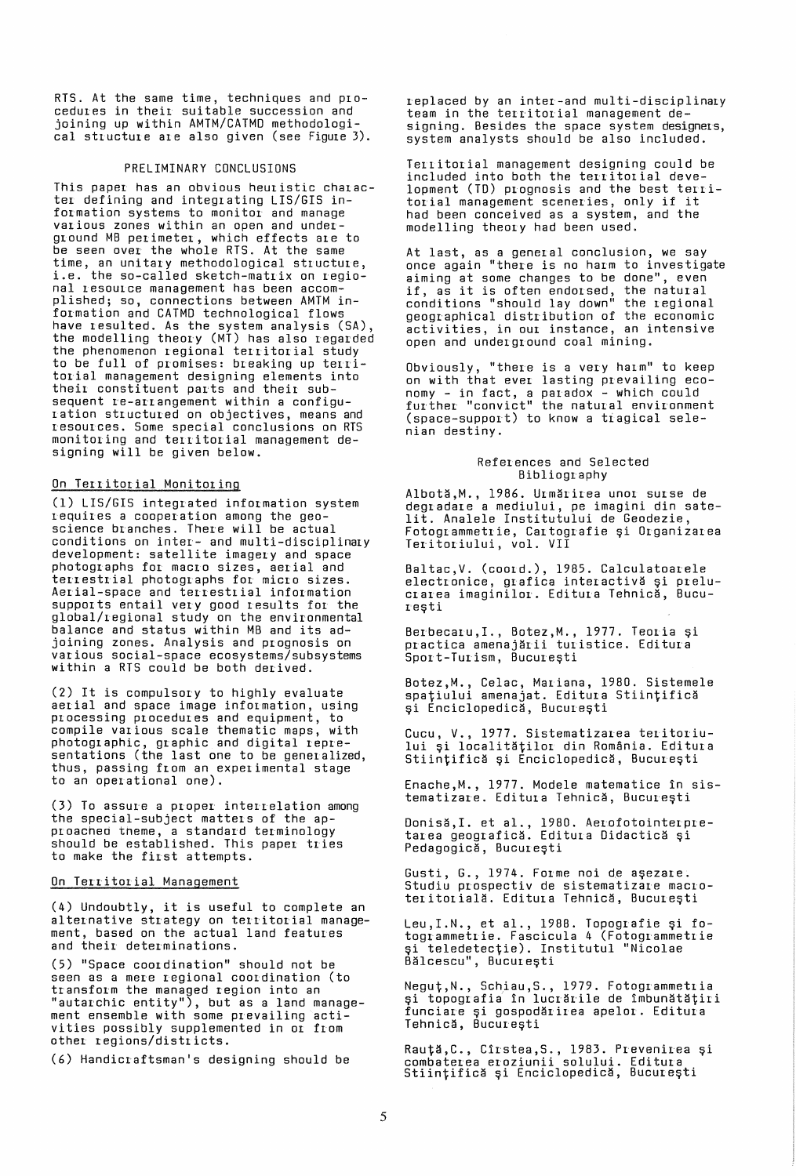RTS. At the same time, techniques and procedures in their suitable succession and joining up within AMTM/CATMO methodological structure are also given (see Figure 3).

#### PRELIMINARY CONCLUSIONS

This paper has an obvious heuristic character defining and integrating LIS/GIS information systems to monitor and manage various zones within an open and underground MB perimeter, which effects are to be seen over the whole RTS. At the same time, an unitary methodological structure, i.e. the so-called sketch-matrix on regional resource management has been accomplished; so, connections between AMTM information and CATMO technological flows have resulted. As the system analysis (SA), the modelling theory (MT) has also regarded the phenomenon regional territorial study to be full of promises: breaking up territorial management designing elements into their constituent parts and their subsequent re-arrangement within a configuration structured on objectives, means and resources. Some special conclusions on RTS monitoring and territorial management designing will be given below.

## On Territorial Monitoring

(1) LIS/GIS integrated information system requires a cooperation among the geoscience branches. There will be actual conditions on inter- and multi-disciplinary development: satellite imagery and space photographs for macro sizes, aerial and terrestrial photographs for micro sizes. Aerial-space and terrestrial information supports entail very good results for the global/regional study on the environmental balance and status within MB and its adjoining zones. Analysis and prognosis on various social-space ecosystems/subsystems within a RTS could be both derived.

(2) It is compulsory to highly evaluate active imagination and equipment, to compile various scale thematic maps, with photographic, graphic and digital representations (the last one to be generalized, thus, passing from an experimental stage to an operational one).

(3) To assure a proper interrelation among<br>the special-subject matters of the apthe special-subject matters of the ap- proached theme, a standard terminology should be established. This paper tries to make the first attempts.

### On Territorial Management

(4) Undoubtly, it is useful to complete an alternative strategy on territorial management, based on the actual land features and their determinations.

(5) "Space coordination" should not be seen as a mere regional coordination (to transform the managed region into an "autarchic entity"), but as a land management ensemble with some prevailing activities possibly supplemented in or from other regions/districts.

(6) Handicraftsman's designing should be

replaced by an inter-and multi-disciplinary team in the territorial management designing. Besides the space system designers, system analysts should be also included.

Territorial management designing could be included into both the territorial development (TO) prognosis and the best territorial management sceneries, only if it had been conceived as a system, and the modelling theory had been used.

At last, as a general conclusion, we say once again "there is no harm to investigate aiming at some changes to be done", even aiming at some changes to be done, even<br>if, as it is often endorsed, the natural conditions "should lay down" the regional geographical distribution of the economic activities, in our instance, an intensive open and underground coal mining.

Obviously, "there is a very harm" to keep on with that ever lasting prevailing economy - in fact, a paradox - which could further "convict" the natural environment (space-support) to know a tiagical selenian destiny.

#### References and Selected Bibliography

Albotă, M., 1986. Urmărirea unor surse de degradare a mediului, pe imagini din sate-lit. Analele Institutului de Geodezie, Fotogrammetrie, Cartografie și Organizarea Teritoriului, vol. VII

Baltac,V. (coord.), 1985. Calculatoarele electronice, grafica interactivă și prelucrarea imaginilor. Editura Tehnică, Bucure9ti

Berbecaru,I., Botez,M., 1977. Teoria și<br>practica amenajării turistice. Editura Sport-Turism, București

Botez,M., Celac, Mariana, 1980. Sistemele spațiului amenajat. Editura Stiințifică și Enciclopedică, București

Cucu, V., 1977. Sistematizarea teritoriului și localităților din România. Editura Stiințifică și Enciclopedică, București

Enache,M., 1977. Modele matematice in sistematizare. Editura Tehnică, București

Donisă,I. et al., 1980. Aerofotointerpretarea geografică. Editura Didactică și Pedagogică, București

Gusti, G., 1974. Forme noi de așezare. Studiu prospectiv de sistematizare macro teritorială. Editura Tehnică, București

Leu, I.N., et al., 1988. Topografie și fotogrammetrie. Fascicula 4 (Fotogrammetrie și teledetecție). Institutul "Nicolae Bălcescu", București

Negut,N., Schiau,S., 1979. Fotogrammetria și topografia în lucrările de îmbunătățiri funciare și gospodărirea apelor. Editura<br>funciare și gospodărirea apelor. Editura<br>Tehnică, București

Rau<mark>ță,C., Cîrstea,S., 1983. Prevenirea și</mark> ncaresco, errorea eroziunii solului. Editura<br>combaterea eroziunii solului. Editura<br>Stiintifică și Enciclopedică, București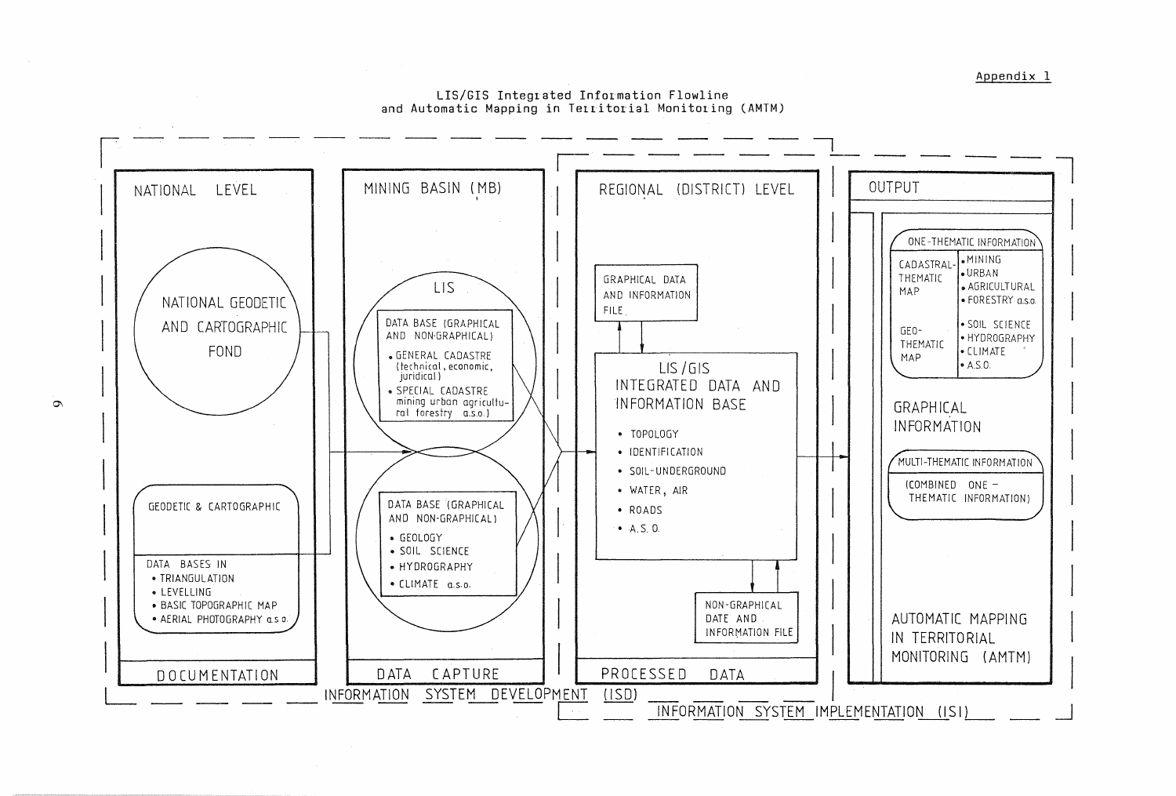Appendix 1

LIS/GIS Integrated Information Flowline and Automatic Mapping in Territorial Monitoring (AMTM)



 $\sigma$